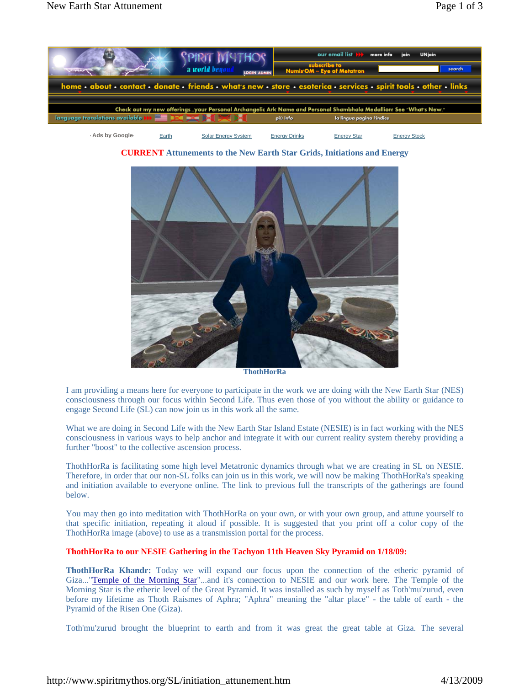

**CURRENT Attunements to the New Earth Star Grids, Initiations and Energy**



**ThothHorRa** 

I am providing a means here for everyone to participate in the work we are doing with the New Earth Star (NES) consciousness through our focus within Second Life. Thus even those of you without the ability or guidance to engage Second Life (SL) can now join us in this work all the same.

What we are doing in Second Life with the New Earth Star Island Estate (NESIE) is in fact working with the NES consciousness in various ways to help anchor and integrate it with our current reality system thereby providing a further "boost" to the collective ascension process.

ThothHorRa is facilitating some high level Metatronic dynamics through what we are creating in SL on NESIE. Therefore, in order that our non-SL folks can join us in this work, we will now be making ThothHorRa's speaking and initiation available to everyone online. The link to previous full the transcripts of the gatherings are found below.

You may then go into meditation with ThothHorRa on your own, or with your own group, and attune yourself to that specific initiation, repeating it aloud if possible. It is suggested that you print off a color copy of the ThothHorRa image (above) to use as a transmission portal for the process.

## **ThothHorRa to our NESIE Gathering in the Tachyon 11th Heaven Sky Pyramid on 1/18/09:**

**ThothHorRa Khandr:** Today we will expand our focus upon the connection of the etheric pyramid of Giza..."Temple of the Morning Star"...and it's connection to NESIE and our work here. The Temple of the Morning Star is the etheric level of the Great Pyramid. It was installed as such by myself as Toth'mu'zurud, even before my lifetime as Thoth Raismes of Aphra; "Aphra" meaning the "altar place" - the table of earth - the Pyramid of the Risen One (Giza).

Toth'mu'zurud brought the blueprint to earth and from it was great the great table at Giza. The several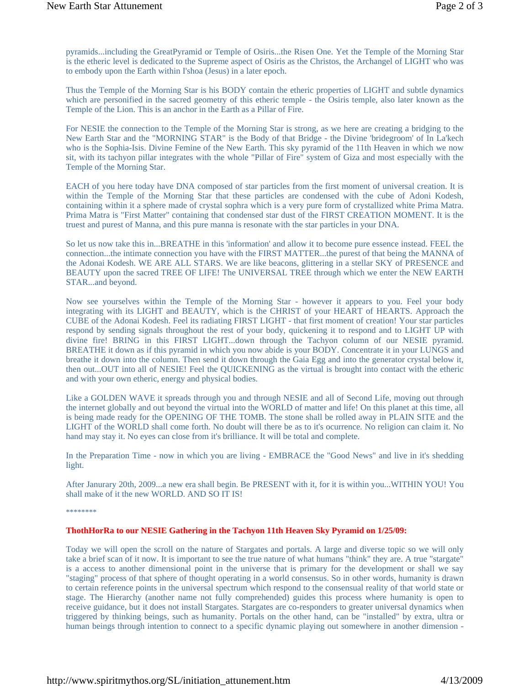pyramids...including the GreatPyramid or Temple of Osiris...the Risen One. Yet the Temple of the Morning Star is the etheric level is dedicated to the Supreme aspect of Osiris as the Christos, the Archangel of LIGHT who was to embody upon the Earth within I'shoa (Jesus) in a later epoch.

Thus the Temple of the Morning Star is his BODY contain the etheric properties of LIGHT and subtle dynamics which are personified in the sacred geometry of this etheric temple - the Osiris temple, also later known as the Temple of the Lion. This is an anchor in the Earth as a Pillar of Fire.

For NESIE the connection to the Temple of the Morning Star is strong, as we here are creating a bridging to the New Earth Star and the "MORNING STAR" is the Body of that Bridge - the Divine 'bridegroom' of In La'kech who is the Sophia-Isis. Divine Femine of the New Earth. This sky pyramid of the 11th Heaven in which we now sit, with its tachyon pillar integrates with the whole "Pillar of Fire" system of Giza and most especially with the Temple of the Morning Star.

EACH of you here today have DNA composed of star particles from the first moment of universal creation. It is within the Temple of the Morning Star that these particles are condensed with the cube of Adoni Kodesh, containing within it a sphere made of crystal sophra which is a very pure form of crystallized white Prima Matra. Prima Matra is "First Matter" containing that condensed star dust of the FIRST CREATION MOMENT. It is the truest and purest of Manna, and this pure manna is resonate with the star particles in your DNA.

So let us now take this in...BREATHE in this 'information' and allow it to become pure essence instead. FEEL the connection...the intimate connection you have with the FIRST MATTER...the purest of that being the MANNA of the Adonai Kodesh. WE ARE ALL STARS. We are like beacons, glittering in a stellar SKY of PRESENCE and BEAUTY upon the sacred TREE OF LIFE! The UNIVERSAL TREE through which we enter the NEW EARTH STAR...and beyond.

Now see yourselves within the Temple of the Morning Star - however it appears to you. Feel your body integrating with its LIGHT and BEAUTY, which is the CHRIST of your HEART of HEARTS. Approach the CUBE of the Adonai Kodesh. Feel its radiating FIRST LIGHT - that first moment of creation! Your star particles respond by sending signals throughout the rest of your body, quickening it to respond and to LIGHT UP with divine fire! BRING in this FIRST LIGHT...down through the Tachyon column of our NESIE pyramid. BREATHE it down as if this pyramid in which you now abide is your BODY. Concentrate it in your LUNGS and breathe it down into the column. Then send it down through the Gaia Egg and into the generator crystal below it, then out...OUT into all of NESIE! Feel the QUICKENING as the virtual is brought into contact with the etheric and with your own etheric, energy and physical bodies.

Like a GOLDEN WAVE it spreads through you and through NESIE and all of Second Life, moving out through the internet globally and out beyond the virtual into the WORLD of matter and life! On this planet at this time, all is being made ready for the OPENING OF THE TOMB. The stone shall be rolled away in PLAIN SITE and the LIGHT of the WORLD shall come forth. No doubt will there be as to it's ocurrence. No religion can claim it. No hand may stay it. No eyes can close from it's brilliance. It will be total and complete.

In the Preparation Time - now in which you are living - EMBRACE the "Good News" and live in it's shedding light.

After Janurary 20th, 2009...a new era shall begin. Be PRESENT with it, for it is within you...WITHIN YOU! You shall make of it the new WORLD. AND SO IT IS!

\*\*\*\*\*\*\*\*\*\*\*

## **ThothHorRa to our NESIE Gathering in the Tachyon 11th Heaven Sky Pyramid on 1/25/09:**

Today we will open the scroll on the nature of Stargates and portals. A large and diverse topic so we will only take a brief scan of it now. It is important to see the true nature of what humans "think" they are. A true "stargate" is a access to another dimensional point in the universe that is primary for the development or shall we say "staging" process of that sphere of thought operating in a world consensus. So in other words, humanity is drawn to certain reference points in the universal spectrum which respond to the consensual reality of that world state or stage. The Hierarchy (another name not fully comprehended) guides this process where humanity is open to receive guidance, but it does not install Stargates. Stargates are co-responders to greater universal dynamics when triggered by thinking beings, such as humanity. Portals on the other hand, can be "installed" by extra, ultra or human beings through intention to connect to a specific dynamic playing out somewhere in another dimension -